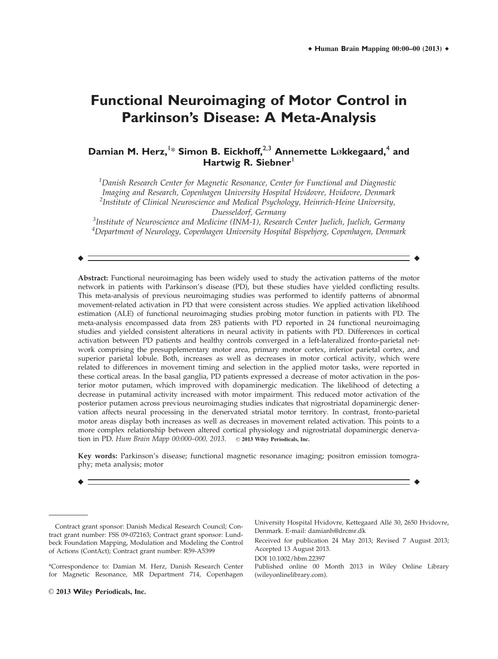# **Functional Neuroimaging of Motor Control in Parkinson's Disease: A Meta-Analysis**

# **Damian M. Herz,**<sup>1</sup> \* **Simon B. Eickhoff,**2,3 **Annemette L**-**kkegaard,**<sup>4</sup> **and Hartwig R. Siebner**

 $^{\rm 1}$ Danish Research Center for Magnetic Resonance, Center for Functional and Diagnostic Imaging and Research, Copenhagen University Hospital Hvidovre, Hvidovre, Denmark <sup>2</sup>Institute of Clinical Neuroscience and Medical Psychology, Heinrich-Heine University, Duesseldorf, Germany

 ${}^{3}$ Institute of Neuroscience and Medicine (INM-1), Research Center Juelich, Juelich, Germany 4 Department of Neurology, Copenhagen University Hospital Bispebjerg, Copenhagen, Denmark

 $\bullet$  -contract to the contract of the contract of the contract of the contract of the contract of the contract of the contract of the contract of the contract of the contract of the contract of the contract of the contrac

Abstract: Functional neuroimaging has been widely used to study the activation patterns of the motor network in patients with Parkinson's disease (PD), but these studies have yielded conflicting results. This meta-analysis of previous neuroimaging studies was performed to identify patterns of abnormal movement-related activation in PD that were consistent across studies. We applied activation likelihood estimation (ALE) of functional neuroimaging studies probing motor function in patients with PD. The meta-analysis encompassed data from 283 patients with PD reported in 24 functional neuroimaging studies and yielded consistent alterations in neural activity in patients with PD. Differences in cortical activation between PD patients and healthy controls converged in a left-lateralized fronto-parietal network comprising the presupplementary motor area, primary motor cortex, inferior parietal cortex, and superior parietal lobule. Both, increases as well as decreases in motor cortical activity, which were related to differences in movement timing and selection in the applied motor tasks, were reported in these cortical areas. In the basal ganglia, PD patients expressed a decrease of motor activation in the posterior motor putamen, which improved with dopaminergic medication. The likelihood of detecting a decrease in putaminal activity increased with motor impairment. This reduced motor activation of the posterior putamen across previous neuroimaging studies indicates that nigrostriatal dopaminergic denervation affects neural processing in the denervated striatal motor territory. In contrast, fronto-parietal motor areas display both increases as well as decreases in movement related activation. This points to a more complex relationship between altered cortical physiology and nigrostriatal dopaminergic denervation in PD. Hum Brain Mapp 00:000-000, 2013.  $\circ$  2013 Wiley Periodicals, Inc.

Key words: Parkinson's disease; functional magnetic resonance imaging; positron emission tomography; meta analysis; motor

r r

University Hospital Hvidovre, Kettegaard Allé 30, 2650 Hvidovre, Denmark. E-mail: damianh@drcmr.dk

Received for publication 24 May 2013; Revised 7 August 2013; Accepted 13 August 2013.

DOI 10.1002/hbm.22397

Published online 00 Month 2013 in Wiley Online Library (wileyonlinelibrary.com).

Contract grant sponsor: Danish Medical Research Council; Contract grant number: FSS 09-072163; Contract grant sponsor: Lundbeck Foundation Mapping, Modulation and Modeling the Control of Actions (ContAct); Contract grant number: R59-A5399

<sup>\*</sup>Correspondence to: Damian M. Herz, Danish Research Center for Magnetic Resonance, MR Department 714, Copenhagen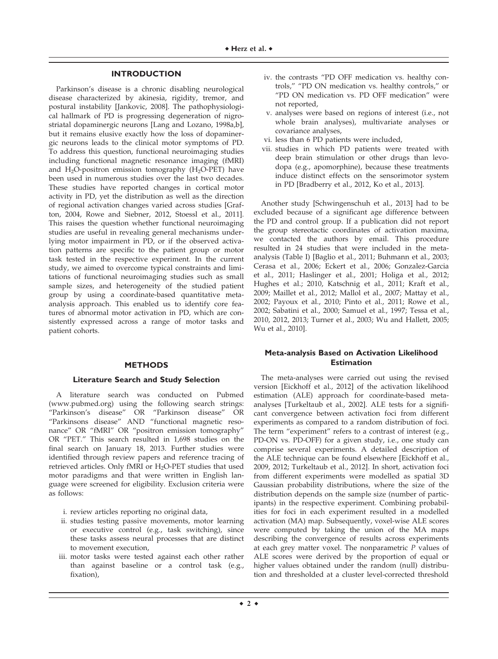# **INTRODUCTION**

Parkinson's disease is a chronic disabling neurological disease characterized by akinesia, rigidity, tremor, and postural instability [Jankovic, 2008]. The pathophysiological hallmark of PD is progressing degeneration of nigrostriatal dopaminergic neurons [Lang and Lozano, 1998a,b], but it remains elusive exactly how the loss of dopaminergic neurons leads to the clinical motor symptoms of PD. To address this question, functional neuroimaging studies including functional magnetic resonance imaging (fMRI) and  $H_2O$ -positron emission tomography ( $H_2O$ -PET) have been used in numerous studies over the last two decades. These studies have reported changes in cortical motor activity in PD, yet the distribution as well as the direction of regional activation changes varied across studies [Grafton, 2004, Rowe and Siebner, 2012, Stoessl et al., 2011]. This raises the question whether functional neuroimaging studies are useful in revealing general mechanisms underlying motor impairment in PD, or if the observed activation patterns are specific to the patient group or motor task tested in the respective experiment. In the current study, we aimed to overcome typical constraints and limitations of functional neuroimaging studies such as small sample sizes, and heterogeneity of the studied patient group by using a coordinate-based quantitative metaanalysis approach. This enabled us to identify core features of abnormal motor activation in PD, which are consistently expressed across a range of motor tasks and patient cohorts.

## **METHODS**

## **Literature Search and Study Selection**

A literature search was conducted on Pubmed (<www.pubmed.org>) using the following search strings: "Parkinson's disease" OR "Parkinson disease" OR "Parkinsons disease" AND "functional magnetic resonance" OR "fMRI" OR "positron emission tomography" OR "PET." This search resulted in 1,698 studies on the final search on January 18, 2013. Further studies were identified through review papers and reference tracing of retrieved articles. Only fMRI or H<sub>2</sub>O-PET studies that used motor paradigms and that were written in English language were screened for eligibility. Exclusion criteria were as follows:

- i. review articles reporting no original data,
- ii. studies testing passive movements, motor learning or executive control (e.g., task switching), since these tasks assess neural processes that are distinct to movement execution,
- iii. motor tasks were tested against each other rather than against baseline or a control task (e.g., fixation),
- iv. the contrasts "PD OFF medication vs. healthy controls," "PD ON medication vs. healthy controls," or "PD ON medication vs. PD OFF medication" were not reported,
- v. analyses were based on regions of interest (i.e., not whole brain analyses), multivariate analyses or covariance analyses,
- vi. less than 6 PD patients were included,
- vii. studies in which PD patients were treated with deep brain stimulation or other drugs than levodopa (e.g., apomorphine), because these treatments induce distinct effects on the sensorimotor system in PD [Bradberry et al., 2012, Ko et al., 2013].

Another study [Schwingenschuh et al., 2013] had to be excluded because of a significant age difference between the PD and control group. If a publication did not report the group stereotactic coordinates of activation maxima, we contacted the authors by email. This procedure resulted in 24 studies that were included in the metaanalysis (Table I) [Baglio et al., 2011; Buhmann et al., 2003; Cerasa et al., 2006; Eckert et al., 2006; Gonzalez-Garcia et al., 2011; Haslinger et al., 2001; Holiga et al., 2012; Hughes et al.; 2010, Katschnig et al., 2011; Kraft et al., 2009; Maillet et al., 2012; Mallol et al., 2007; Mattay et al., 2002; Payoux et al., 2010; Pinto et al., 2011; Rowe et al., 2002; Sabatini et al., 2000; Samuel et al., 1997; Tessa et al., 2010, 2012, 2013; Turner et al., 2003; Wu and Hallett, 2005; Wu et al., 2010].

# **Meta-analysis Based on Activation Likelihood Estimation**

The meta-analyses were carried out using the revised version [Eickhoff et al., 2012] of the activation likelihood estimation (ALE) approach for coordinate-based metaanalyses [Turkeltaub et al., 2002]. ALE tests for a significant convergence between activation foci from different experiments as compared to a random distribution of foci. The term "experiment" refers to a contrast of interest (e.g., PD-ON vs. PD-OFF) for a given study, i.e., one study can comprise several experiments. A detailed description of the ALE technique can be found elsewhere [Eickhoff et al., 2009, 2012; Turkeltaub et al., 2012]. In short, activation foci from different experiments were modelled as spatial 3D Gaussian probability distributions, where the size of the distribution depends on the sample size (number of participants) in the respective experiment. Combining probabilities for foci in each experiment resulted in a modelled activation (MA) map. Subsequently, voxel-wise ALE scores were computed by taking the union of the MA maps describing the convergence of results across experiments at each grey matter voxel. The nonparametric  $P$  values of ALE scores were derived by the proportion of equal or higher values obtained under the random (null) distribution and thresholded at a cluster level-corrected threshold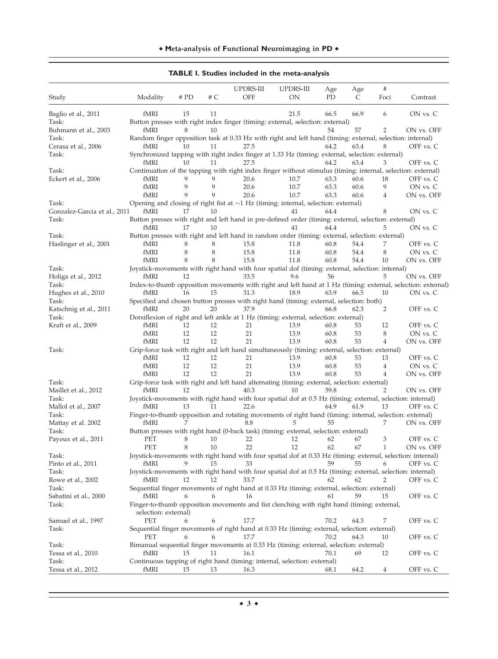|                               |                      |      |          | UPDRS-III  | UPDRS-III                                                                                                    | Age  | Age      | #    |                                                                                                              |
|-------------------------------|----------------------|------|----------|------------|--------------------------------------------------------------------------------------------------------------|------|----------|------|--------------------------------------------------------------------------------------------------------------|
| Study                         | Modality             | # PD | # C      | <b>OFF</b> | ON                                                                                                           | PD   | C        | Foci | Contrast                                                                                                     |
| Baglio et al., 2011           | fMRI                 | 15   | 11       |            | 21.5                                                                                                         | 66.5 | 66.9     | 6    | ON vs. C                                                                                                     |
| Task:                         |                      |      |          |            | Button presses with right index finger (timing: external, selection: external)                               |      |          |      |                                                                                                              |
| Buhmann et al., 2003          | fMRI                 | 8    | 10       |            |                                                                                                              | 54   | 57       | 2    | ON vs. OFF                                                                                                   |
| Task:                         |                      |      |          |            | Random finger opposition task at 0.33 Hz with right and left hand (timing: external, selection: internal)    |      |          |      |                                                                                                              |
| Cerasa et al., 2006           | fMRI                 | 10   | 11       | 27.5       |                                                                                                              | 64.2 | 63.4     | 8    | OFF vs. C                                                                                                    |
| Task:                         |                      |      |          |            | Synchronized tapping with right index finger at 1.33 Hz (timing: external, selection: external)              |      |          |      |                                                                                                              |
|                               | fMRI                 | 10   | 11       | 27.5       |                                                                                                              | 64.2 | 63.4     | 3    | OFF vs. C                                                                                                    |
| Task:                         |                      |      |          |            | Continuation of the tapping with right index finger without stimulus (timing: internal, selection: external) |      |          |      |                                                                                                              |
| Eckert et al., 2006           | fMRI                 | 9    | 9        | 20.6       | 10.7                                                                                                         | 63.3 | 60.6     | 18   | OFF vs. C                                                                                                    |
|                               | fMRI                 | 9    | 9        | 20.6       | 10.7                                                                                                         | 63.3 | 60.6     | 9    | ON vs. C                                                                                                     |
|                               | fMRI                 | 9    | 9        | 20.6       | 10.7                                                                                                         | 63.3 | 60.6     | 4    | ON vs. OFF                                                                                                   |
| Task:                         |                      |      |          |            | Opening and closing of right fist at $\sim$ 1 Hz (timing: internal, selection: external)                     |      |          |      |                                                                                                              |
| Gonzalez-Garcia et al., 2011  | fMRI                 | 17   | 10       |            | 41                                                                                                           | 64.4 |          | 8    | ON vs. C                                                                                                     |
| Task:                         |                      |      |          |            | Button presses with right and left hand in pre-defined order (timing: external, selection: external)         |      |          |      |                                                                                                              |
|                               | fMRI                 | 17   | 10       |            | 41                                                                                                           | 64.4 |          | 5    | ON vs. C                                                                                                     |
| Task:                         |                      |      |          |            | Button presses with right and left hand in random order (timing: external, selection: external)              |      |          |      |                                                                                                              |
| Haslinger et al., 2001        | fMRI                 | 8    | 8        | 15.8       | 11.8                                                                                                         | 60.8 | 54.4     | 7    | OFF vs. C                                                                                                    |
|                               | fMRI                 | 8    | 8        | 15.8       | 11.8                                                                                                         | 60.8 | 54.4     | 8    | ON vs. C                                                                                                     |
|                               | fMRI                 | 8    | 8        | 15.8       | 11.8                                                                                                         | 60.8 | 54.4     | 10   | ON vs. OFF                                                                                                   |
| Task:                         |                      |      |          |            | Joystick-movements with right hand with four spatial dof (timing: external, selection: internal)             |      |          |      |                                                                                                              |
| Holiga et al., 2012           | fMRI                 | 12   |          | 33.5       | 9.6                                                                                                          | 56   |          | 5    | ON vs. OFF                                                                                                   |
| Task:                         |                      |      |          |            |                                                                                                              |      |          |      | Index-to-thumb opposition movements with right and left hand at 1 Hz (timing: external, selection: external) |
| Hughes et al., 2010           | fMRI                 | 16   | 15       | 31.3       | 18.9                                                                                                         | 63.9 | 66.5     | 10   | ON vs. C                                                                                                     |
| Task:                         |                      |      |          |            | Specified and chosen button presses with right hand (timing: external, selection: both)                      |      |          |      |                                                                                                              |
| Katschnig et al., 2011        | fMRI                 | 20   | 20       | 37.9       |                                                                                                              | 66.8 | 62.3     | 2    | OFF vs. C                                                                                                    |
| Task:                         |                      |      |          |            | Dorsiflexion of right and left ankle at 1 Hz (timing: external, selection: external)                         |      |          |      |                                                                                                              |
| Kraft et al., 2009            | fMRI                 | 12   | 12       | 21         | 13.9                                                                                                         | 60.8 | 53       | 12   | OFF vs. C                                                                                                    |
|                               | fMRI                 | 12   | 12       | 21         | 13.9                                                                                                         | 60.8 | 53       | 8    | ON vs. C                                                                                                     |
|                               | fMRI                 | 12   | 12       | 21         | 13.9                                                                                                         | 60.8 | 53       | 4    | ON vs. OFF                                                                                                   |
| Task:                         |                      |      |          |            | Grip-force task with right and left hand simultaneously (timing: external, selection: external)              |      |          |      |                                                                                                              |
|                               | fMRI                 | 12   | 12       | 21         | 13.9                                                                                                         | 60.8 | 53       | 13   | OFF vs. C                                                                                                    |
|                               | fMRI                 | 12   | 12       | 21         | 13.9                                                                                                         | 60.8 | 53       | 4    | ON vs. C                                                                                                     |
|                               | fMRI                 | 12   | 12       | 21         | 13.9                                                                                                         | 60.8 | 53       | 4    | ON vs. OFF                                                                                                   |
| Task:                         |                      |      |          |            |                                                                                                              |      |          |      |                                                                                                              |
|                               | fMRI                 | 12   |          | 40.3       | Grip-force task with right and left hand alternating (timing: external, selection: external)<br>10           | 59.8 |          | 2    |                                                                                                              |
| Maillet et al., 2012<br>Task: |                      |      |          |            | Joystick-movements with right hand with four spatial dof at 0.5 Hz (timing: external, selection: internal)   |      |          |      | ON vs. OFF                                                                                                   |
|                               | fMRI                 | 13   | 11       | 22.6       |                                                                                                              | 64.9 | 61.9     | 13   | OFF vs. C                                                                                                    |
| Mallol et al., 2007<br>Task:  |                      |      |          |            | Finger-to-thumb opposition and rotating movements of right hand (timing: internal, selection: external)      |      |          |      |                                                                                                              |
|                               | fMRI                 | 7    |          | 8.8        | 5                                                                                                            | 55   |          | 7    | ON vs. OFF                                                                                                   |
| Mattay et al. 2002<br>Task:   |                      |      |          |            | Button presses with right hand (0-back task) (timing: external, selection: external)                         |      |          |      |                                                                                                              |
|                               | <b>PET</b>           |      |          | 22         |                                                                                                              |      |          |      | OFF vs. C                                                                                                    |
| Payoux et al., 2011           |                      | 8    | 10<br>10 | 22         | 12<br>12                                                                                                     | 62   | 67<br>67 | 3    |                                                                                                              |
|                               | <b>PET</b>           |      |          |            |                                                                                                              | 62   |          | 1    | ON vs. OFF                                                                                                   |
| Task:                         |                      |      |          |            | Joystick-movements with right hand with four spatial dof at 0.33 Hz (timing: external, selection: internal)  |      |          |      |                                                                                                              |
| Pinto et al., 2011            | fMRI                 | 9    | 15       | 33         |                                                                                                              | 59   | 55       | 6    | OFF vs. C                                                                                                    |
| Task:                         |                      |      |          |            | Joystick-movements with right hand with four spatial dof at 0.5 Hz (timing: external, selection: internal)   |      |          |      |                                                                                                              |
| Rowe et al., 2002             | fMRI                 | 12   | 12       | 33.7       |                                                                                                              | 62   | 62       | 2    | OFF vs. C                                                                                                    |
| Task:                         |                      |      |          |            | Sequential finger movements of right hand at 0.33 Hz (timing: external, selection: external)                 |      |          |      |                                                                                                              |
| Sabatini et al., 2000         | fMRI                 | 6    | 6        | 16         |                                                                                                              | 61   | 59       | 15   | OFF vs. C                                                                                                    |
| Task:                         |                      |      |          |            | Finger-to-thumb opposition movements and fist clenching with right hand (timing: external,                   |      |          |      |                                                                                                              |
|                               | selection: external) |      |          |            |                                                                                                              |      |          |      |                                                                                                              |
| Samuel et al., 1997           | PET                  | 6    |          | 17.7       |                                                                                                              | 70.2 | 64.3     | 7    | OFF vs. C                                                                                                    |
| Task:                         |                      |      |          |            | Sequential finger movements of right hand at 0.33 Hz (timing: external, selection: external)                 |      |          |      |                                                                                                              |
|                               | <b>PET</b>           | 6    | 6        | 17.7       |                                                                                                              | 70.2 | 64.3     | 10   | OFF vs. C                                                                                                    |
| Task:                         |                      |      |          |            | Bimanual sequential finger movements at 0.33 Hz (timing: external, selection: external)                      |      |          |      |                                                                                                              |
| Tessa et al., 2010            | fMRI                 | 15   | 11       | 16.1       |                                                                                                              | 70.1 | 69       | 12   | OFF vs. C                                                                                                    |
| Task:                         |                      |      |          |            | Continuous tapping of right hand (timing: internal, selection: external)                                     |      |          |      |                                                                                                              |
| Tessa et al., 2012            | fMRI                 | 15   | 13       | 16.3       |                                                                                                              | 68.1 | 64.2     | 4    | OFF vs. C                                                                                                    |

# **TABLE I. Studies included in the meta-analysis**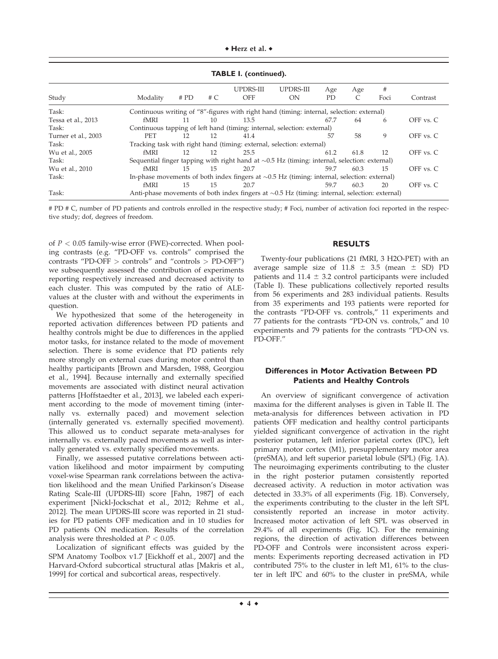| Study               | Modality                                                                                           | # PD                                                                  | # $C$ | UPDRS-III<br><b>OFF</b>                                                                             | <b>UPDRS-III</b><br>ON | Age<br><b>PD</b> | Age<br>$\mathcal{C}$ | #<br>Foci | Contrast      |  |  |
|---------------------|----------------------------------------------------------------------------------------------------|-----------------------------------------------------------------------|-------|-----------------------------------------------------------------------------------------------------|------------------------|------------------|----------------------|-----------|---------------|--|--|
| Task:               | Continuous writing of "8"-figures with right hand (timing: internal, selection: external)          |                                                                       |       |                                                                                                     |                        |                  |                      |           |               |  |  |
| Tessa et al., 2013  | fMRI                                                                                               | 11                                                                    | 10    | 13.5                                                                                                |                        | 67.7             | 64                   | 6         | $OFF$ vs. $C$ |  |  |
| Task:               | Continuous tapping of left hand (timing: internal, selection: external)                            |                                                                       |       |                                                                                                     |                        |                  |                      |           |               |  |  |
| Turner et al., 2003 | <b>PET</b>                                                                                         | 12 <sup>°</sup>                                                       | 12    | 41.4                                                                                                |                        | 57               | 58                   | 9         | OFF vs. C     |  |  |
| Task:               |                                                                                                    | Tracking task with right hand (timing: external, selection: external) |       |                                                                                                     |                        |                  |                      |           |               |  |  |
| Wu et al., 2005     | fMRI                                                                                               | 12                                                                    | 12    | 25.5                                                                                                |                        | 61.2             | 61.8                 | 12        | OFF vs. C     |  |  |
| Task:               | Sequential finger tapping with right hand at $\sim 0.5$ Hz (timing: internal, selection: external) |                                                                       |       |                                                                                                     |                        |                  |                      |           |               |  |  |
| Wu et al., 2010     | fMRI                                                                                               | 15                                                                    | 15    | 20.7                                                                                                |                        | 59.7             | 60.3                 | 15        | OFF vs. C     |  |  |
| Task:               | In-phase movements of both index fingers at $\sim 0.5$ Hz (timing: internal, selection: external)  |                                                                       |       |                                                                                                     |                        |                  |                      |           |               |  |  |
|                     | fMRI                                                                                               | 15                                                                    | 15    | 20.7                                                                                                |                        | 59.7             | 60.3                 | 20        | OFF vs. C     |  |  |
| Task:               |                                                                                                    |                                                                       |       | Anti-phase movements of both index fingers at $\sim 0.5$ Hz (timing: internal, selection: external) |                        |                  |                      |           |               |  |  |

**TABLE I. (continued).**

# PD # C, number of PD patients and controls enrolled in the respective study; # Foci, number of activation foci reported in the respective study; dof, degrees of freedom.

of  $P < 0.05$  family-wise error (FWE)-corrected. When pooling contrasts (e.g. "PD-OFF vs. controls" comprised the contrasts "PD-OFF  $>$  controls" and "controls  $>$  PD-OFF") we subsequently assessed the contribution of experiments reporting respectively increased and decreased activity to each cluster. This was computed by the ratio of ALEvalues at the cluster with and without the experiments in question.

We hypothesized that some of the heterogeneity in reported activation differences between PD patients and healthy controls might be due to differences in the applied motor tasks, for instance related to the mode of movement selection. There is some evidence that PD patients rely more strongly on external cues during motor control than healthy participants [Brown and Marsden, 1988, Georgiou et al., 1994]. Because internally and externally specified movements are associated with distinct neural activation patterns [Hoffstaedter et al., 2013], we labeled each experiment according to the mode of movement timing (internally vs. externally paced) and movement selection (internally generated vs. externally specified movement). This allowed us to conduct separate meta-analyses for internally vs. externally paced movements as well as internally generated vs. externally specified movements.

Finally, we assessed putative correlations between activation likelihood and motor impairment by computing voxel-wise Spearman rank correlations between the activation likelihood and the mean Unified Parkinson's Disease Rating Scale-III (UPDRS-III) score [Fahn, 1987] of each experiment [Nickl-Jockschat et al., 2012; Rehme et al., 2012]. The mean UPDRS-III score was reported in 21 studies for PD patients OFF medication and in 10 studies for PD patients ON medication. Results of the correlation analysis were thresholded at  $P < 0.05$ .

Localization of significant effects was guided by the SPM Anatomy Toolbox v1.7 [Eickhoff et al., 2007] and the Harvard-Oxford subcortical structural atlas [Makris et al., 1999] for cortical and subcortical areas, respectively.

# **RESULTS**

Twenty-four publications (21 fMRI, 3 H2O-PET) with an average sample size of  $11.8 \pm 3.5$  (mean  $\pm$  SD) PD patients and  $11.4 \pm 3.2$  control participants were included (Table I). These publications collectively reported results from 56 experiments and 283 individual patients. Results from 35 experiments and 193 patients were reported for the contrasts "PD-OFF vs. controls," 11 experiments and 77 patients for the contrasts "PD-ON vs. controls," and 10 experiments and 79 patients for the contrasts "PD-ON vs. PD-OFF."

# **Differences in Motor Activation Between PD Patients and Healthy Controls**

An overview of significant convergence of activation maxima for the different analyses is given in Table II. The meta-analysis for differences between activation in PD patients OFF medication and healthy control participants yielded significant convergence of activation in the right posterior putamen, left inferior parietal cortex (IPC), left primary motor cortex (M1), presupplementary motor area (preSMA), and left superior parietal lobule (SPL) (Fig. 1A). The neuroimaging experiments contributing to the cluster in the right posterior putamen consistently reported decreased activity. A reduction in motor activation was detected in 33.3% of all experiments (Fig. 1B). Conversely, the experiments contributing to the cluster in the left SPL consistently reported an increase in motor activity. Increased motor activation of left SPL was observed in 29.4% of all experiments (Fig. 1C). For the remaining regions, the direction of activation differences between PD-OFF and Controls were inconsistent across experiments: Experiments reporting decreased activation in PD contributed 75% to the cluster in left M1, 61% to the cluster in left IPC and 60% to the cluster in preSMA, while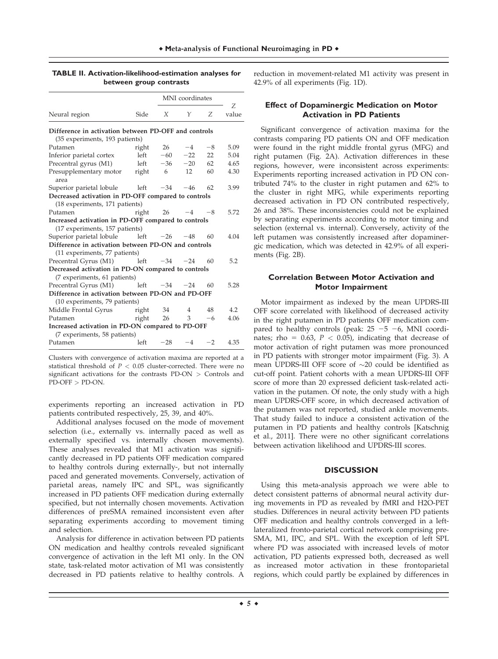|                                                                                       |                | MNI coordinates |                 |      |            |
|---------------------------------------------------------------------------------------|----------------|-----------------|-----------------|------|------------|
| Neural region                                                                         | Side           | X               | Υ               | Z    | Ζ<br>value |
| Difference in activation between PD-OFF and controls                                  |                |                 |                 |      |            |
| (35 experiments, 193 patients)                                                        |                |                 |                 |      |            |
| Putamen                                                                               |                | right 26        | $-4$            | $-8$ | 5.09       |
| Inferior parietal cortex                                                              |                | $left$ $-60$    | $-22$           | 22   | 5.04       |
| Precentral gyrus (M1)                                                                 | $left -36 -20$ |                 |                 | 62   | 4.65       |
| Presupplementary motor right 6<br>area                                                |                |                 | 12              | 60   | 4.30       |
| Superior parietal lobule                                                              | $left -34 -46$ |                 |                 | 62   | 3.99       |
| Decreased activation in PD-OFF compared to controls<br>(18 experiments, 171 patients) |                |                 |                 |      |            |
| Putamen                                                                               |                | right $26 -4$   |                 | $-8$ | 5.72       |
| Increased activation in PD-OFF compared to controls<br>(17 experiments, 157 patients) |                |                 |                 |      |            |
| Superior parietal lobule                                                              | left           | $-26 -48$       |                 | - 60 | 4.04       |
| Difference in activation between PD-ON and controls<br>(11 experiments, 77 patients)  |                |                 |                 |      |            |
| Precentral Gyrus (M1) left $-34 -24$                                                  |                |                 |                 | 60   | 5.2        |
| Decreased activation in PD-ON compared to controls<br>(7 experiments, 61 patients)    |                |                 |                 |      |            |
| Precentral Gyrus (M1)                                                                 |                | $left -34 -24$  |                 | 60   | 5.28       |
| Difference in activation between PD-ON and PD-OFF<br>(10 experiments, 79 patients)    |                |                 |                 |      |            |
| Middle Frontal Gyrus                                                                  |                | right 34        | $4\overline{ }$ | 48   | 4.2        |
| Putamen                                                                               | right          | 26              | $3^{\circ}$     | $-6$ | 4.06       |
| Increased activation in PD-ON compared to PD-OFF<br>(7 experiments, 58 patients)      |                |                 |                 |      |            |
| Putamen                                                                               | left           | $-28$           | $-4$            | $-2$ | 4.35       |

**TABLE II. Activation-likelihood-estimation analyses for between group contrasts**

Clusters with convergence of activation maxima are reported at a statistical threshold of  $P < 0.05$  cluster-corrected. There were no significant activations for the contrasts PD-ON > Controls and PD-OFF > PD-ON.

experiments reporting an increased activation in PD patients contributed respectively, 25, 39, and 40%.

Additional analyses focused on the mode of movement selection (i.e., externally vs. internally paced as well as externally specified vs. internally chosen movements). These analyses revealed that M1 activation was significantly decreased in PD patients OFF medication compared to healthy controls during externally-, but not internally paced and generated movements. Conversely, activation of parietal areas, namely IPC and SPL, was significantly increased in PD patients OFF medication during externally specified, but not internally chosen movements. Activation differences of preSMA remained inconsistent even after separating experiments according to movement timing and selection.

Analysis for difference in activation between PD patients ON medication and healthy controls revealed significant convergence of activation in the left M1 only. In the ON state, task-related motor activation of M1 was consistently decreased in PD patients relative to healthy controls. A

reduction in movement-related M1 activity was present in 42.9% of all experiments (Fig. 1D).

# **Effect of Dopaminergic Medication on Motor Activation in PD Patients**

Significant convergence of activation maxima for the contrasts comparing PD patients ON and OFF medication were found in the right middle frontal gyrus (MFG) and right putamen (Fig. 2A). Activation differences in these regions, however, were inconsistent across experiments: Experiments reporting increased activation in PD ON contributed 74% to the cluster in right putamen and 62% to the cluster in right MFG, while experiments reporting decreased activation in PD ON contributed respectively, 26 and 38%. These inconsistencies could not be explained by separating experiments according to motor timing and selection (external vs. internal). Conversely, activity of the left putamen was consistently increased after dopaminergic medication, which was detected in 42.9% of all experiments (Fig. 2B).

# **Correlation Between Motor Activation and Motor Impairment**

Motor impairment as indexed by the mean UPDRS-III OFF score correlated with likelihood of decreased activity in the right putamen in PD patients OFF medication compared to healthy controls (peak:  $25 - 5 - 6$ , MNI coordinates; rho = 0.63,  $P < 0.05$ ), indicating that decrease of motor activation of right putamen was more pronounced in PD patients with stronger motor impairment (Fig. 3). A mean UPDRS-III OFF score of  $\sim$ 20 could be identified as cut-off point. Patient cohorts with a mean UPDRS-III OFF score of more than 20 expressed deficient task-related activation in the putamen. Of note, the only study with a high mean UPDRS-OFF score, in which decreased activation of the putamen was not reported, studied ankle movements. That study failed to induce a consistent activation of the putamen in PD patients and healthy controls [Katschnig et al., 2011]. There were no other significant correlations between activation likelihood and UPDRS-III scores.

#### **DISCUSSION**

Using this meta-analysis approach we were able to detect consistent patterns of abnormal neural activity during movements in PD as revealed by fMRI and H2O-PET studies. Differences in neural activity between PD patients OFF medication and healthy controls converged in a leftlateralized fronto-parietal cortical network comprising pre-SMA, M1, IPC, and SPL. With the exception of left SPL where PD was associated with increased levels of motor activation, PD patients expressed both, decreased as well as increased motor activation in these frontoparietal regions, which could partly be explained by differences in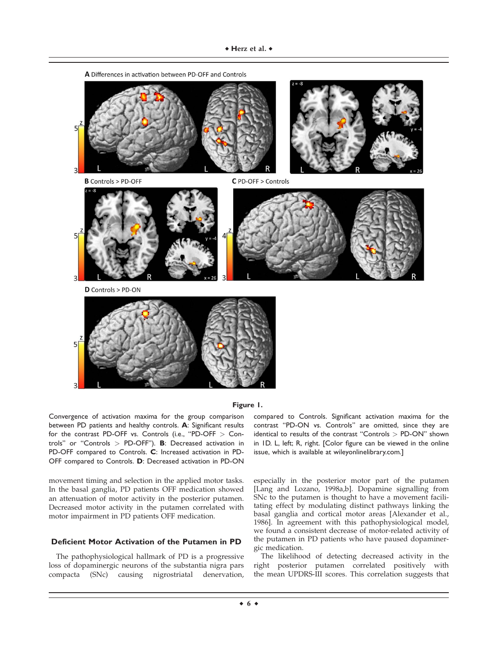



#### **Figure 1.**

Convergence of activation maxima for the group comparison between PD patients and healthy controls. **A**: Significant results for the contrast PD-OFF vs. Controls (i.e., "PD-OFF > Controls" or "Controls > PD-OFF"). **B**: Decreased activation in PD-OFF compared to Controls. **C**: Increased activation in PD-OFF compared to Controls. **D**: Decreased activation in PD-ON

movement timing and selection in the applied motor tasks. In the basal ganglia, PD patients OFF medication showed an attenuation of motor activity in the posterior putamen. Decreased motor activity in the putamen correlated with motor impairment in PD patients OFF medication.

#### **Deficient Motor Activation of the Putamen in PD**

The pathophysiological hallmark of PD is a progressive loss of dopaminergic neurons of the substantia nigra pars compacta (SNc) causing nigrostriatal denervation, compared to Controls. Significant activation maxima for the contrast "PD-ON vs. Controls" are omitted, since they are identical to results of the contrast "Controls > PD-ON" shown in 1D. L, left; R, right. [Color figure can be viewed in the online issue, which is available at [wileyonlinelibrary.com.](http://wileyonlinelibrary.com)]

especially in the posterior motor part of the putamen [Lang and Lozano, 1998a,b]. Dopamine signalling from SNc to the putamen is thought to have a movement facilitating effect by modulating distinct pathways linking the basal ganglia and cortical motor areas [Alexander et al., 1986]. In agreement with this pathophysiological model, we found a consistent decrease of motor-related activity of the putamen in PD patients who have paused dopaminergic medication.

The likelihood of detecting decreased activity in the right posterior putamen correlated positively with the mean UPDRS-III scores. This correlation suggests that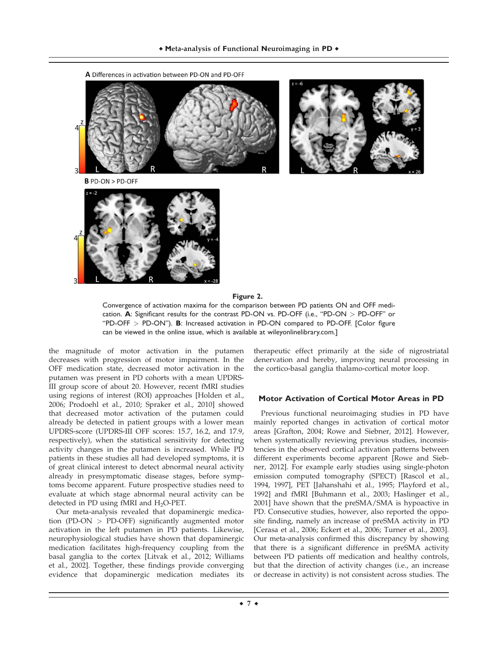

#### **Figure 2.**

Convergence of activation maxima for the comparison between PD patients ON and OFF medication. **A**: Significant results for the contrast PD-ON vs. PD-OFF (i.e., "PD-ON > PD-OFF" or "PD-OFF > PD-ON"). **B**: Increased activation in PD-ON compared to PD-OFF. [Color figure can be viewed in the online issue, which is available at [wileyonlinelibrary.com](http://wileyonlinelibrary.com).]

the magnitude of motor activation in the putamen decreases with progression of motor impairment. In the OFF medication state, decreased motor activation in the putamen was present in PD cohorts with a mean UPDRS-III group score of about 20. However, recent fMRI studies using regions of interest (ROI) approaches [Holden et al., 2006; Prodoehl et al., 2010; Spraker et al., 2010] showed that decreased motor activation of the putamen could already be detected in patient groups with a lower mean UPDRS-score (UPDRS-III OFF scores: 15.7, 16.2, and 17.9, respectively), when the statistical sensitivity for detecting activity changes in the putamen is increased. While PD patients in these studies all had developed symptoms, it is of great clinical interest to detect abnormal neural activity already in presymptomatic disease stages, before symptoms become apparent. Future prospective studies need to evaluate at which stage abnormal neural activity can be detected in PD using fMRI and  $H_2O$ -PET.

Our meta-analysis revealed that dopaminergic medication (PD-ON > PD-OFF) significantly augmented motor activation in the left putamen in PD patients. Likewise, neurophysiological studies have shown that dopaminergic medication facilitates high-frequency coupling from the basal ganglia to the cortex [Litvak et al., 2012; Williams et al., 2002]. Together, these findings provide converging evidence that dopaminergic medication mediates its

therapeutic effect primarily at the side of nigrostriatal denervation and hereby, improving neural processing in the cortico-basal ganglia thalamo-cortical motor loop.

# **Motor Activation of Cortical Motor Areas in PD**

Previous functional neuroimaging studies in PD have mainly reported changes in activation of cortical motor areas [Grafton, 2004; Rowe and Siebner, 2012]. However, when systematically reviewing previous studies, inconsistencies in the observed cortical activation patterns between different experiments become apparent [Rowe and Siebner, 2012]. For example early studies using single-photon emission computed tomography (SPECT) [Rascol et al., 1994, 1997], PET [Jahanshahi et al., 1995; Playford et al., 1992] and fMRI [Buhmann et al., 2003; Haslinger et al., 2001] have shown that the preSMA/SMA is hypoactive in PD. Consecutive studies, however, also reported the opposite finding, namely an increase of preSMA activity in PD [Cerasa et al., 2006; Eckert et al., 2006; Turner et al., 2003]. Our meta-analysis confirmed this discrepancy by showing that there is a significant difference in preSMA activity between PD patients off medication and healthy controls, but that the direction of activity changes (i.e., an increase or decrease in activity) is not consistent across studies. The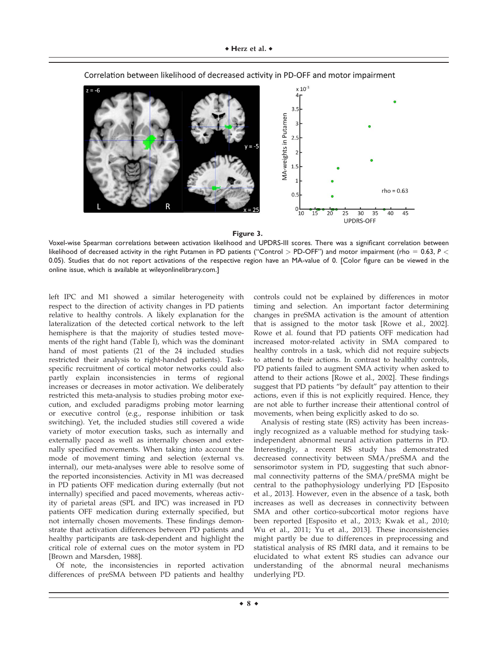

Correlation between likelihood of decreased activity in PD-OFF and motor impairment

#### **Figure 3.**

Voxel-wise Spearman correlations between activation likelihood and UPDRS-III scores. There was a significant correlation between likelihood of decreased activity in the right Putamen in PD patients ("Control > PD-OFF") and motor impairment (rho = 0.63, *P <* 0.05). Studies that do not report activations of the respective region have an MA-value of 0. [Color figure can be viewed in the online issue, which is available at [wileyonlinelibrary.com.](http://wileyonlinelibrary.com)]

left IPC and M1 showed a similar heterogeneity with respect to the direction of activity changes in PD patients relative to healthy controls. A likely explanation for the lateralization of the detected cortical network to the left hemisphere is that the majority of studies tested movements of the right hand (Table I), which was the dominant hand of most patients (21 of the 24 included studies restricted their analysis to right-handed patients). Taskspecific recruitment of cortical motor networks could also partly explain inconsistencies in terms of regional increases or decreases in motor activation. We deliberately restricted this meta-analysis to studies probing motor execution, and excluded paradigms probing motor learning or executive control (e.g., response inhibition or task switching). Yet, the included studies still covered a wide variety of motor execution tasks, such as internally and externally paced as well as internally chosen and externally specified movements. When taking into account the mode of movement timing and selection (external vs. internal), our meta-analyses were able to resolve some of the reported inconsistencies. Activity in M1 was decreased in PD patients OFF medication during externally (but not internally) specified and paced movements, whereas activity of parietal areas (SPL and IPC) was increased in PD patients OFF medication during externally specified, but not internally chosen movements. These findings demonstrate that activation differences between PD patients and healthy participants are task-dependent and highlight the critical role of external cues on the motor system in PD [Brown and Marsden, 1988].

Of note, the inconsistencies in reported activation differences of preSMA between PD patients and healthy controls could not be explained by differences in motor timing and selection. An important factor determining changes in preSMA activation is the amount of attention that is assigned to the motor task [Rowe et al., 2002]. Rowe et al. found that PD patients OFF medication had increased motor-related activity in SMA compared to healthy controls in a task, which did not require subjects to attend to their actions. In contrast to healthy controls, PD patients failed to augment SMA activity when asked to attend to their actions [Rowe et al., 2002]. These findings suggest that PD patients "by default" pay attention to their actions, even if this is not explicitly required. Hence, they are not able to further increase their attentional control of movements, when being explicitly asked to do so.

Analysis of resting state (RS) activity has been increasingly recognized as a valuable method for studying taskindependent abnormal neural activation patterns in PD. Interestingly, a recent RS study has demonstrated decreased connectivity between SMA/preSMA and the sensorimotor system in PD, suggesting that such abnormal connectivity patterns of the SMA/preSMA might be central to the pathophysiology underlying PD [Esposito et al., 2013]. However, even in the absence of a task, both increases as well as decreases in connectivity between SMA and other cortico-subcortical motor regions have been reported [Esposito et al., 2013; Kwak et al., 2010; Wu et al., 2011; Yu et al., 2013]. These inconsistencies might partly be due to differences in preprocessing and statistical analysis of RS fMRI data, and it remains to be elucidated to what extent RS studies can advance our understanding of the abnormal neural mechanisms underlying PD.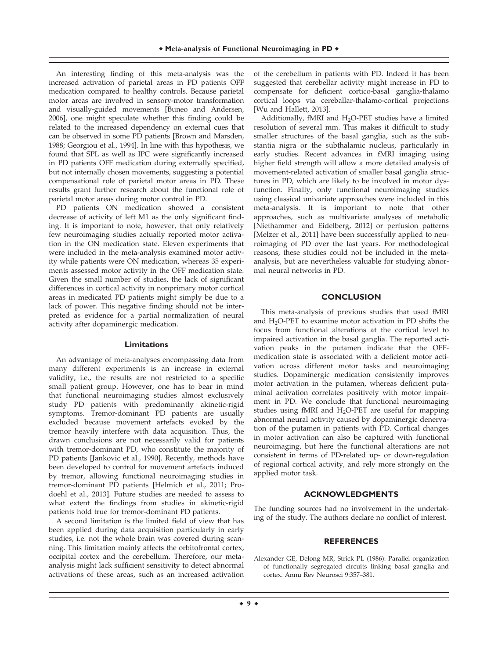An interesting finding of this meta-analysis was the increased activation of parietal areas in PD patients OFF medication compared to healthy controls. Because parietal motor areas are involved in sensory-motor transformation and visually-guided movements [Buneo and Andersen, 2006], one might speculate whether this finding could be related to the increased dependency on external cues that can be observed in some PD patients [Brown and Marsden, 1988; Georgiou et al., 1994]. In line with this hypothesis, we found that SPL as well as IPC were significantly increased in PD patients OFF medication during externally specified, but not internally chosen movements, suggesting a potential compensational role of parietal motor areas in PD. These results grant further research about the functional role of parietal motor areas during motor control in PD.

PD patients ON medication showed a consistent decrease of activity of left M1 as the only significant finding. It is important to note, however, that only relatively few neuroimaging studies actually reported motor activation in the ON medication state. Eleven experiments that were included in the meta-analysis examined motor activity while patients were ON medication, whereas 35 experiments assessed motor activity in the OFF medication state. Given the small number of studies, the lack of significant differences in cortical activity in nonprimary motor cortical areas in medicated PD patients might simply be due to a lack of power. This negative finding should not be interpreted as evidence for a partial normalization of neural activity after dopaminergic medication.

#### **Limitations**

An advantage of meta-analyses encompassing data from many different experiments is an increase in external validity, i.e., the results are not restricted to a specific small patient group. However, one has to bear in mind that functional neuroimaging studies almost exclusively study PD patients with predominantly akinetic-rigid symptoms. Tremor-dominant PD patients are usually excluded because movement artefacts evoked by the tremor heavily interfere with data acquisition. Thus, the drawn conclusions are not necessarily valid for patients with tremor-dominant PD, who constitute the majority of PD patients [Jankovic et al., 1990]. Recently, methods have been developed to control for movement artefacts induced by tremor, allowing functional neuroimaging studies in tremor-dominant PD patients [Helmich et al., 2011; Prodoehl et al., 2013]. Future studies are needed to assess to what extent the findings from studies in akinetic-rigid patients hold true for tremor-dominant PD patients.

A second limitation is the limited field of view that has been applied during data acquisition particularly in early studies, i.e. not the whole brain was covered during scanning. This limitation mainly affects the orbitofrontal cortex, occipital cortex and the cerebellum. Therefore, our metaanalysis might lack sufficient sensitivity to detect abnormal activations of these areas, such as an increased activation

of the cerebellum in patients with PD. Indeed it has been suggested that cerebellar activity might increase in PD to compensate for deficient cortico-basal ganglia-thalamo cortical loops via cereballar-thalamo-cortical projections [Wu and Hallett, 2013].

Additionally, fMRI and  $H_2O-PET$  studies have a limited resolution of several mm. This makes it difficult to study smaller structures of the basal ganglia, such as the substantia nigra or the subthalamic nucleus, particularly in early studies. Recent advances in fMRI imaging using higher field strength will allow a more detailed analysis of movement-related activation of smaller basal ganglia structures in PD, which are likely to be involved in motor dysfunction. Finally, only functional neuroimaging studies using classical univariate approaches were included in this meta-analysis. It is important to note that other approaches, such as multivariate analyses of metabolic [Niethammer and Eidelberg, 2012] or perfusion patterns [Melzer et al., 2011] have been successfully applied to neuroimaging of PD over the last years. For methodological reasons, these studies could not be included in the metaanalysis, but are nevertheless valuable for studying abnormal neural networks in PD.

## **CONCLUSION**

This meta-analysis of previous studies that used fMRI and  $H_2O$ -PET to examine motor activation in PD shifts the focus from functional alterations at the cortical level to impaired activation in the basal ganglia. The reported activation peaks in the putamen indicate that the OFFmedication state is associated with a deficient motor activation across different motor tasks and neuroimaging studies. Dopaminergic medication consistently improves motor activation in the putamen, whereas deficient putaminal activation correlates positively with motor impairment in PD. We conclude that functional neuroimaging studies using fMRI and  $H_2O-PET$  are useful for mapping abnormal neural activity caused by dopaminergic denervation of the putamen in patients with PD. Cortical changes in motor activation can also be captured with functional neuroimaging, but here the functional alterations are not consistent in terms of PD-related up- or down-regulation of regional cortical activity, and rely more strongly on the applied motor task.

#### **ACKNOWLEDGMENTS**

The funding sources had no involvement in the undertaking of the study. The authors declare no conflict of interest.

#### **REFERENCES**

Alexander GE, Delong MR, Strick PL (1986): Parallel organization of functionally segregated circuits linking basal ganglia and cortex. Annu Rev Neurosci 9:357–381.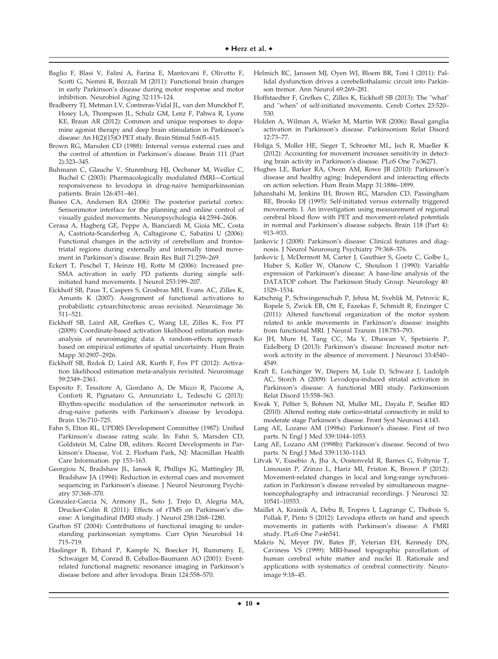- Baglio F, Blasi V, Falini A, Farina E, Mantovani F, Olivotto F, Scotti G, Nemni R, Bozzali M (2011): Functional brain changes in early Parkinson's disease during motor response and motor inhibition. Neurobiol Aging 32:115–124.
- Bradberry TJ, Metman LV, Contreras-Vidal JL, van den Munckhof P, Hosey LA, Thompson JL, Schulz GM, Lenz F, Pahwa R, Lyons KE, Braun AR (2012): Common and unique responses to dopamine agonist therapy and deep brain stimulation in Parkinson's disease: An H(2)(15)O PET study. Brain Stimul 5:605–615.
- Brown RG, Marsden CD (1988): Internal versus external cues and the control of attention in Parkinson's disease. Brain 111 (Part 2):323–345.
- Buhmann C, Glauche V, Sturenburg HJ, Oechsner M, Weiller C, Buchel C (2003): Pharmacologically modulated fMRI—Cortical responsiveness to levodopa in drug-naive hemiparkinsonian patients. Brain 126:451–461.
- Buneo CA, Andersen RA (2006): The posterior parietal cortex: Sensorimotor interface for the planning and online control of visually guided movements. Neuropsychologia 44:2594–2606.
- Cerasa A, Hagberg GE, Peppe A, Bianciardi M, Gioia MC, Costa A, Castriota-Scanderbeg A, Caltagirone C, Sabatini U (2006): Functional changes in the activity of cerebellum and frontostriatal regions during externally and internally timed movement in Parkinson's disease. Brain Res Bull 71:259–269.
- Eckert T, Peschel T, Heinze HJ, Rotte M (2006): Increased pre-SMA activation in early PD patients during simple selfinitiated hand movements. J Neurol 253:199–207.
- Eickhoff SB, Paus T, Caspers S, Grosbras MH, Evans AC, Zilles K, Amunts K (2007): Assignment of functional activations to probabilistic cytoarchitectonic areas revisited. Neuroimage 36: 511–521.
- Eickhoff SB, Laird AR, Grefkes C, Wang LE, Zilles K, Fox PT (2009): Coordinate-based activation likelihood estimation metaanalysis of neuroimaging data: A random-effects approach based on empirical estimates of spatial uncertainty. Hum Brain Mapp 30:2907–2926.
- Eickhoff SB, Bzdok D, Laird AR, Kurth F, Fox PT (2012): Activation likelihood estimation meta-analysis revisited. Neuroimage 59:2349–2361.
- Esposito F, Tessitore A, Giordano A, De Micco R, Paccone A, Conforti R, Pignataro G, Annunziato L, Tedeschi G (2013): Rhythm-specific modulation of the sensorimotor network in drug-naive patients with Parkinson's disease by levodopa. Brain 136:710–725.
- Fahn S, Elton RL, UPDRS Development Committee (1987): Unified Parkinson's disease rating scale. In: Fahn S, Marsden CD, Goldstein M, Calne DB, editors. Recent Developments in Parkinson's Disease, Vol. 2. Florham Park, NJ: Macmillan Health Care Information. pp 153–163.
- Georgiou N, Bradshaw JL, Iansek R, Phillips JG, Mattingley JB, Bradshaw JA (1994): Reduction in external cues and movement sequencing in Parkinson's disease. J Neurol Neurosurg Psychiatry 57:368–370.
- Gonzalez-Garcia N, Armony JL, Soto J, Trejo D, Alegria MA, Drucker-Colin R (2011): Effects of rTMS on Parkinson's disease: A longitudinal fMRI study. J Neurol 258:1268–1280.
- Grafton ST (2004): Contributions of functional imaging to understanding parkinsonian symptoms. Curr Opin Neurobiol 14: 715–719.
- Haslinger B, Erhard P, Kampfe N, Boecker H, Rummeny E, Schwaiger M, Conrad B, Ceballos-Baumann AO (2001): Eventrelated functional magnetic resonance imaging in Parkinson's disease before and after levodopa. Brain 124:558–570.
- Helmich RC, Janssen MJ, Oyen WJ, Bloem BR, Toni I (2011): Pallidal dysfunction drives a cerebellothalamic circuit into Parkinson tremor. Ann Neurol 69:269–281.
- Hoffstaedter F, Grefkes C, Zilles K, Eickhoff SB (2013): The "what" and "when" of self-initiated movements. Cereb Cortex 23:520– 530.
- Holden A, Wilman A, Wieler M, Martin WR (2006): Basal ganglia activation in Parkinson's disease. Parkinsonism Relat Disord 12:73–77.
- Holiga S, Moller HE, Sieger T, Schroeter ML, Jech R, Mueller K (2012): Accounting for movement increases sensitivity in detecting brain activity in Parkinson's disease. PLoS One 7:e36271.
- Hughes LE, Barker RA, Owen AM, Rowe JB (2010): Parkinson's disease and healthy aging: Independent and interacting effects on action selection. Hum Brain Mapp 31:1886–1899.
- Jahanshahi M, Jenkins IH, Brown RG, Marsden CD, Passingham RE, Brooks DJ (1995): Self-initiated versus externally triggered movements. I. An investigation using measurement of regional cerebral blood flow with PET and movement-related potentials in normal and Parkinson's disease subjects. Brain 118 (Part 4): 913–933.
- Jankovic J (2008): Parkinson's disease: Clinical features and diagnosis. J Neurol Neurosurg Psychiatry 79:368–376.
- Jankovic J, McDermott M, Carter J, Gauthier S, Goetz C, Golbe L, Huber S, Koller W, Olanow C, Shoulson I (1990): Variable expression of Parkinson's disease: A base-line analysis of the DATATOP cohort. The Parkinson Study Group. Neurology 40: 1529–1534.
- Katschnig P, Schwingenschuh P, Jehna M, Svehlik M, Petrovic K, Ropele S, Zwick EB, Ott E, Fazekas F, Schmidt R, Enzinger C (2011): Altered functional organization of the motor system related to ankle movements in Parkinson's disease: insights from functional MRI. J Neural Transm 118:783–793.
- Ko JH, Mure H, Tang CC, Ma Y, Dhawan V, Spetsieris P, Eidelberg D (2013): Parkinson's disease: Increased motor network activity in the absence of movement. J Neurosci 33:4540– 4549.
- Kraft E, Loichinger W, Diepers M, Lule D, Schwarz J, Ludolph AC, Storch A (2009): Levodopa-induced striatal activation in Parkinson's disease: A functional MRI study. Parkinsonism Relat Disord 15:558–563.
- Kwak Y, Peltier S, Bohnen NI, Muller ML, Dayalu P, Seidler RD (2010): Altered resting state cortico-striatal connectivity in mild to moderate stage Parkinson's disease. Front Syst Neurosci 4:143.
- Lang AE, Lozano AM (1998a): Parkinson's disease. First of two parts. N Engl J Med 339:1044–1053.
- Lang AE, Lozano AM (1998b): Parkinson's disease. Second of two parts. N Engl J Med 339:1130–1143.
- Litvak V, Eusebio A, Jha A, Oostenveld R, Barnes G, Foltynie T, Limousin P, Zrinzo L, Hariz MI, Friston K, Brown P (2012): Movement-related changes in local and long-range synchronization in Parkinson's disease revealed by simultaneous magnetoencephalography and intracranial recordings. J Neurosci 32: 10541–10553.
- Maillet A, Krainik A, Debu B, Tropres I, Lagrange C, Thobois S, Pollak P, Pinto S (2012): Levodopa effects on hand and speech movements in patients with Parkinson's disease: A FMRI study. PLoS One 7:e46541.
- Makris N, Meyer JW, Bates JF, Yeterian EH, Kennedy DN, Caviness VS (1999): MRI-based topographic parcellation of human cerebral white matter and nuclei II. Rationale and applications with systematics of cerebral connectivity. Neuroimage 9:18–45.